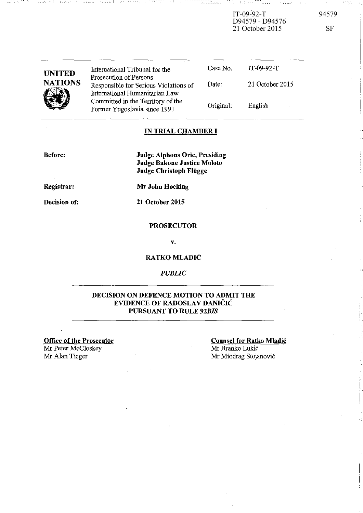IT-09-92-T 94579 D94579 - D94576 21 October 2015 SF

| <b>UNITED</b><br><b>NATIONS</b> | International Tribunal for the<br>Prosecution of Persons                | Case No.  | $IT-09-92-T$    |
|---------------------------------|-------------------------------------------------------------------------|-----------|-----------------|
|                                 | Responsible for Serious Violations of<br>International Humanitarian Law | Date:     | 21 October 2015 |
|                                 | Committed in the Territory of the<br>Former Yugoslavia since 1991       | Original. | English         |

-::~:- -- !

## **IN TRIAL CHAMBER I**

**Before:** 

**Judge Alphons Orie, Presiding Judge Bakone Justice Moloto Judge Christoph Fliigge** 

**Registrar: .** 

**Decision of:** 

**Mr John Hocking** 

**21 October 2015** 

#### **PROSECUTOR**

v.

## **RATKO MLADIC**

## *PUBLIC*

## **DECISION ON DEFENCE MOTION TO ADMiT THE EVIDENCE OF RADOSLAV DANlCI<: PURSUANT TO RULE** *92BIS*

**Office of the Prosecutor**  Mr Peter McCloskey Mr Alan Tieger Mr Miodrag Stojanović

**Counsel for Ratko Mladic**  Mr Branko Lukic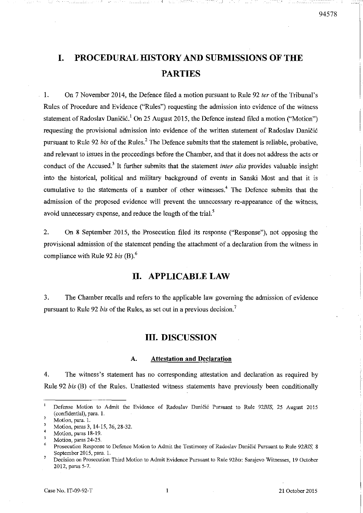# **I. PROCEDURAL HISTORY AND SUBMISSIONS OF THE PARTIES**

1. On 7 November 2014, the Defence filed a motion pursuant to Rule 92 *ter* of the Tribunal's Rules of Procedure and Evidence ("Rules") requesting the admission into evidence of the witness statement of Radoslav Daničić.<sup>1</sup> On 25 August 2015, the Defence instead filed a motion ("Motion") requesting the provisional admission into evidence of the written statement of Radoslav Danici6 pursuant to Rule 92 *bis* of the Rules? The Defence submits that the statement is reliable, probative, and relevant to issues in the proceedings before the Chamber, and that it does not address the acts or conduct of the Accused.<sup>3</sup> It further submits that the statement *inter alia* provides valuable insight into the historical, political and military background of events in Sanski Most and that it is cumulative to the statements of a number of other witnesses.<sup>4</sup> The Defence submits that the admission of the proposed evidence will prevent the unnecessary re-appearance of the witness, avoid unnecessary expense, and reduce the length of the trial.<sup>5</sup>

2. On 8 September 2015, the Prosecution filed its response ("Response"), not opposing the provisional admission of the statement pending the attachment of a declaration from the witness in compliance with Rule 92 *bis* (B).6

## **II. APPLICABLE LAW**

3. The Chamber recalls and refers to the applicable law governing the admission of evidence pursuant to Rule 92 *bis* of the Rules, as set out in a previous decision. <sup>7</sup>

## **III. DISCUSSION**

#### A. **Attestation and Declaration**

4. The witness's statement has no corresponding attestation and declaration as required by Rule 92 *bis* (B) of the Rules. Unattested witness statements have. previously been conditionally

 $\mathbf{I}$ **Defense Motion to Admit the Evidence of Radoslav Danici6 Pursuant to Rule** *92BIS,* **25 August 2015**  (confidential), para. 1.

<sup>2</sup>  **Motion, para. 1.** 

 $\overline{\mathbf{3}}$ Motion, paras 3,14-15,26,28-32.

<sup>4</sup>  **Motion, paras 18·19.** 

 $\mathfrak{s}$ **Motion, paras 24-25.** 

<sup>6</sup>  **Prosecution Response to Defence Motion to Admit the Testimony of Radoslav Danici6 Pursuant to Rule** *92BIS,* **8**  September 2015, para. 1.  $\overline{7}$ 

**Decision on Prosecution Third Motion to Admit Evidence Pursuant to Rule** *92bis:* **Sarajevo Witnesses, 19 October**  2012, paras 5-7.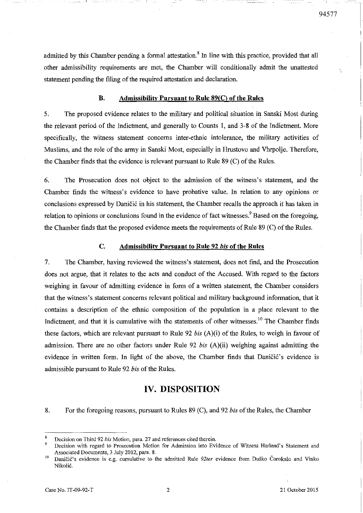admitted by this Chamber pending a formal attestation.<sup>8</sup> In line with this practice, provided that all other admissibility requirements are met, the Chamber will conditionally admit the unattested statement pending the filing of the required attestation and declaration.

### B. Admissibility Pursuant to Rule 89(C) of the Rules

5. The proposed evidence relates to the military and political situation in Sanski Most during the relevant period of the Indictment, and generally to Counts 1, and 3-8 of the Indictment. More specifically, the witness statement concerns inter-ethnic intolerance, the military activities of Muslims, and the role of the army in Sanski Most, especially in Hrustovo and Vhrpolje. Therefore, the Chamber finds that the evidence is relevant pursuant to Rule  $89$  (C) of the Rules.

6. The Prosecution does not object to the admission of the witness's statement, and the Chamber [mds the witness's evidence to have probative value. In relation to any opinions or conclusions expressed by Daničić in his statement, the Chamber recalls the approach it has taken in relation to opinions or conclusions found in the evidence of fact witnesses.<sup>9</sup> Based on the foregoing, the Chamber finds that the proposed evidence meets the requirements of Rule  $89$  (C) of the Rules.

#### C. Admissibility Pursuant to Rule 92 *his* of the Rules

7. The Chamber, having reviewed the witness's statement, does not [md, and the Prosecution does not argue, that it relates to the acts and conduct of the Accused. With regard to the factors weighing in favour of admitting evidence in form of a written statement, the Chamber considers that the witness's statement concerns relevant political and military background information, that it contains a description of the ethnic composition of the population in a place relevant to the Indictment, and that it is cumulative with the statements of other witnesses.<sup>10</sup> The Chamber finds these factors, which are relevant pursuant to Rule 92 *his* (A)(i) of the Rules, to weigh in favour of admission. There are no other factors under Rule 92 *his* (A)(ii) weighing against admitting the evidence in written form. In light of the above, the Chamber finds that Daničić's evidence is admissible pursuant to Rule 92 *his* of the Rules.

## IV. DISPOSITION

8. For the foregoing reasons, pursuant to Rules 89 (c), and 92 *his* of the Rules, the Chamber

\_\_\_\_ -\_\_ -I

Decision on Third 92 *his* Motion, para. 27 and references cited therein.

Decision with regard to Prosecution Motion for Admission into Evidence of Witness Harland's Statement and Associated Documents, 3 July 2012, para. 8.

<sup>&</sup>lt;sup>10</sup> Daničić's evidence is e.g. cumulative to the admitted Rule 92ter evidence from Duško Čorokalo and Vinko Nikolic.